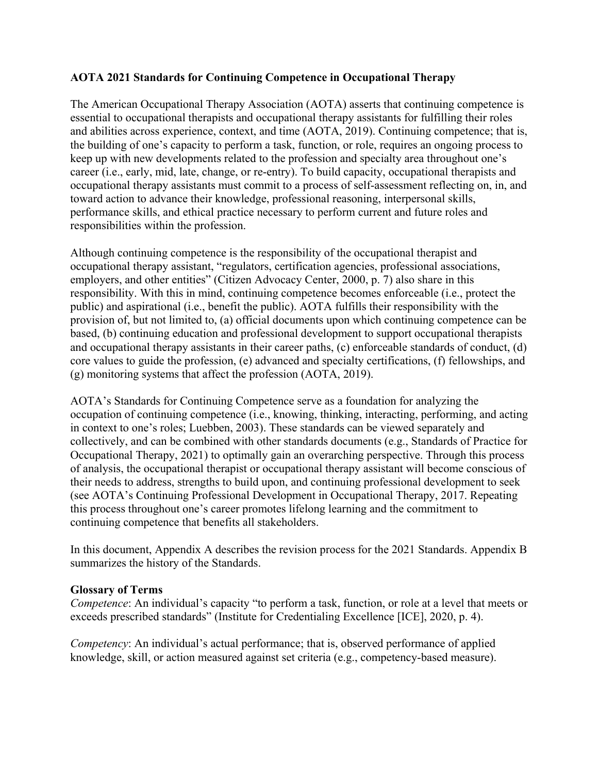## **AOTA 2021 Standards for Continuing Competence in Occupational Therapy**

The American Occupational Therapy Association (AOTA) asserts that continuing competence is essential to occupational therapists and occupational therapy assistants for fulfilling their roles and abilities across experience, context, and time (AOTA, 2019). Continuing competence; that is, the building of one's capacity to perform a task, function, or role, requires an ongoing process to keep up with new developments related to the profession and specialty area throughout one's career (i.e., early, mid, late, change, or re-entry). To build capacity, occupational therapists and occupational therapy assistants must commit to a process of self-assessment reflecting on, in, and toward action to advance their knowledge, professional reasoning, interpersonal skills, performance skills, and ethical practice necessary to perform current and future roles and responsibilities within the profession.

Although continuing competence is the responsibility of the occupational therapist and occupational therapy assistant, "regulators, certification agencies, professional associations, employers, and other entities" (Citizen Advocacy Center, 2000, p. 7) also share in this responsibility. With this in mind, continuing competence becomes enforceable (i.e., protect the public) and aspirational (i.e., benefit the public). AOTA fulfills their responsibility with the provision of, but not limited to, (a) official documents upon which continuing competence can be based, (b) continuing education and professional development to support occupational therapists and occupational therapy assistants in their career paths, (c) enforceable standards of conduct, (d) core values to guide the profession, (e) advanced and specialty certifications, (f) fellowships, and (g) monitoring systems that affect the profession (AOTA, 2019).

AOTA's Standards for Continuing Competence serve as a foundation for analyzing the occupation of continuing competence (i.e., knowing, thinking, interacting, performing, and acting in context to one's roles; Luebben, 2003). These standards can be viewed separately and collectively, and can be combined with other standards documents (e.g., Standards of Practice for Occupational Therapy, 2021) to optimally gain an overarching perspective. Through this process of analysis, the occupational therapist or occupational therapy assistant will become conscious of their needs to address, strengths to build upon, and continuing professional development to seek (see AOTA's Continuing Professional Development in Occupational Therapy, 2017. Repeating this process throughout one's career promotes lifelong learning and the commitment to continuing competence that benefits all stakeholders.

In this document, Appendix A describes the revision process for the 2021 Standards. Appendix B summarizes the history of the Standards.

#### **Glossary of Terms**

*Competence*: An individual's capacity "to perform a task, function, or role at a level that meets or exceeds prescribed standards" (Institute for Credentialing Excellence [ICE], 2020, p. 4).

*Competency*: An individual's actual performance; that is, observed performance of applied knowledge, skill, or action measured against set criteria (e.g., competency-based measure).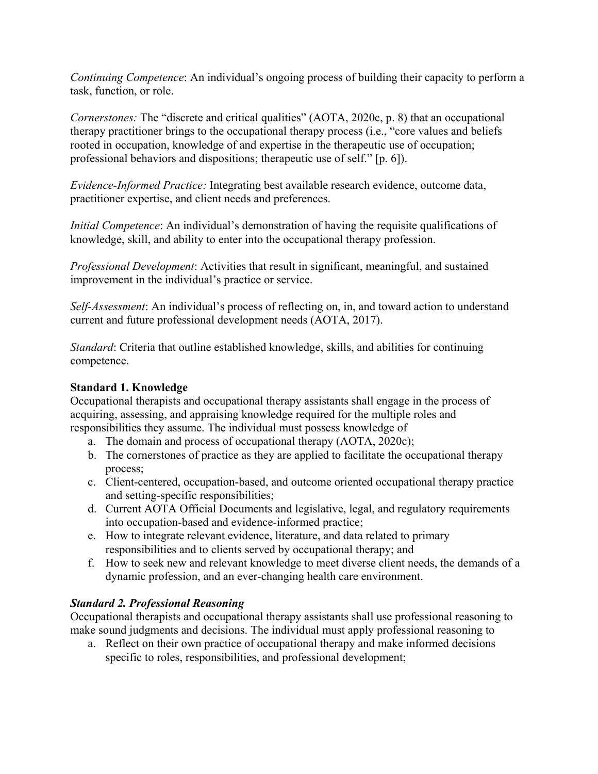*Continuing Competence*: An individual's ongoing process of building their capacity to perform a task, function, or role.

*Cornerstones:* The "discrete and critical qualities" (AOTA, 2020c, p. 8) that an occupational therapy practitioner brings to the occupational therapy process (i.e., "core values and beliefs rooted in occupation, knowledge of and expertise in the therapeutic use of occupation; professional behaviors and dispositions; therapeutic use of self." [p. 6]).

*Evidence-Informed Practice:* Integrating best available research evidence, outcome data, practitioner expertise, and client needs and preferences.

*Initial Competence*: An individual's demonstration of having the requisite qualifications of knowledge, skill, and ability to enter into the occupational therapy profession.

*Professional Development*: Activities that result in significant, meaningful, and sustained improvement in the individual's practice or service.

*Self-Assessment*: An individual's process of reflecting on, in, and toward action to understand current and future professional development needs (AOTA, 2017).

*Standard*: Criteria that outline established knowledge, skills, and abilities for continuing competence.

## **Standard 1. Knowledge**

Occupational therapists and occupational therapy assistants shall engage in the process of acquiring, assessing, and appraising knowledge required for the multiple roles and responsibilities they assume. The individual must possess knowledge of

- a. The domain and process of occupational therapy (AOTA, 2020c);
- b. The cornerstones of practice as they are applied to facilitate the occupational therapy process;
- c. Client-centered, occupation-based, and outcome oriented occupational therapy practice and setting-specific responsibilities;
- d. Current AOTA Official Documents and legislative, legal, and regulatory requirements into occupation-based and evidence-informed practice;
- e. How to integrate relevant evidence, literature, and data related to primary responsibilities and to clients served by occupational therapy; and
- f. How to seek new and relevant knowledge to meet diverse client needs, the demands of a dynamic profession, and an ever-changing health care environment.

## *Standard 2. Professional Reasoning*

Occupational therapists and occupational therapy assistants shall use professional reasoning to make sound judgments and decisions. The individual must apply professional reasoning to

a. Reflect on their own practice of occupational therapy and make informed decisions specific to roles, responsibilities, and professional development;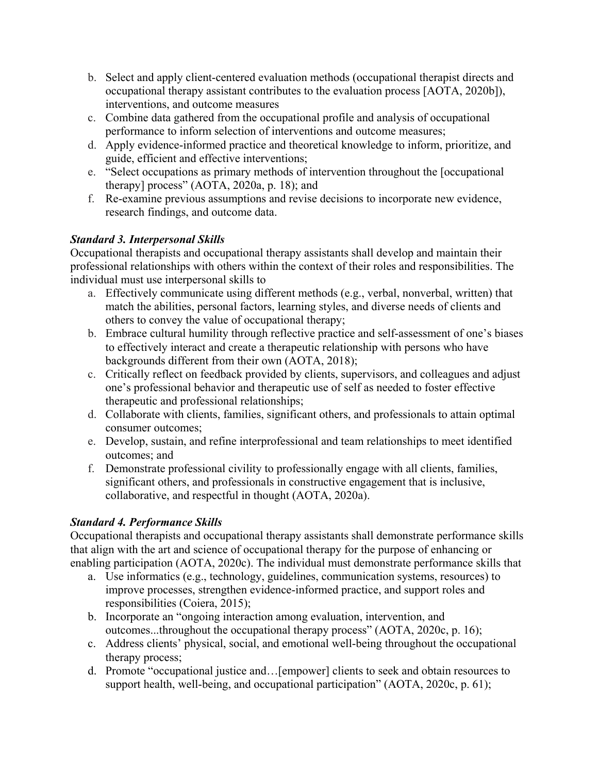- b. Select and apply client-centered evaluation methods (occupational therapist directs and occupational therapy assistant contributes to the evaluation process [AOTA, 2020b]), interventions, and outcome measures
- c. Combine data gathered from the occupational profile and analysis of occupational performance to inform selection of interventions and outcome measures;
- d. Apply evidence-informed practice and theoretical knowledge to inform, prioritize, and guide, efficient and effective interventions;
- e. "Select occupations as primary methods of intervention throughout the [occupational therapy] process" (AOTA, 2020a, p. 18); and
- f. Re-examine previous assumptions and revise decisions to incorporate new evidence, research findings, and outcome data.

# *Standard 3. Interpersonal Skills*

Occupational therapists and occupational therapy assistants shall develop and maintain their professional relationships with others within the context of their roles and responsibilities. The individual must use interpersonal skills to

- a. Effectively communicate using different methods (e.g., verbal, nonverbal, written) that match the abilities, personal factors, learning styles, and diverse needs of clients and others to convey the value of occupational therapy;
- b. Embrace cultural humility through reflective practice and self-assessment of one's biases to effectively interact and create a therapeutic relationship with persons who have backgrounds different from their own (AOTA, 2018);
- c. Critically reflect on feedback provided by clients, supervisors, and colleagues and adjust one's professional behavior and therapeutic use of self as needed to foster effective therapeutic and professional relationships;
- d. Collaborate with clients, families, significant others, and professionals to attain optimal consumer outcomes;
- e. Develop, sustain, and refine interprofessional and team relationships to meet identified outcomes; and
- f. Demonstrate professional civility to professionally engage with all clients, families, significant others, and professionals in constructive engagement that is inclusive, collaborative, and respectful in thought (AOTA, 2020a).

# *Standard 4. Performance Skills*

Occupational therapists and occupational therapy assistants shall demonstrate performance skills that align with the art and science of occupational therapy for the purpose of enhancing or enabling participation (AOTA, 2020c). The individual must demonstrate performance skills that

- a. Use informatics (e.g., technology, guidelines, communication systems, resources) to improve processes, strengthen evidence-informed practice, and support roles and responsibilities (Coiera, 2015);
- b. Incorporate an "ongoing interaction among evaluation, intervention, and outcomes...throughout the occupational therapy process" (AOTA, 2020c, p. 16);
- c. Address clients' physical, social, and emotional well-being throughout the occupational therapy process;
- d. Promote "occupational justice and…[empower] clients to seek and obtain resources to support health, well-being, and occupational participation" (AOTA, 2020c, p. 61);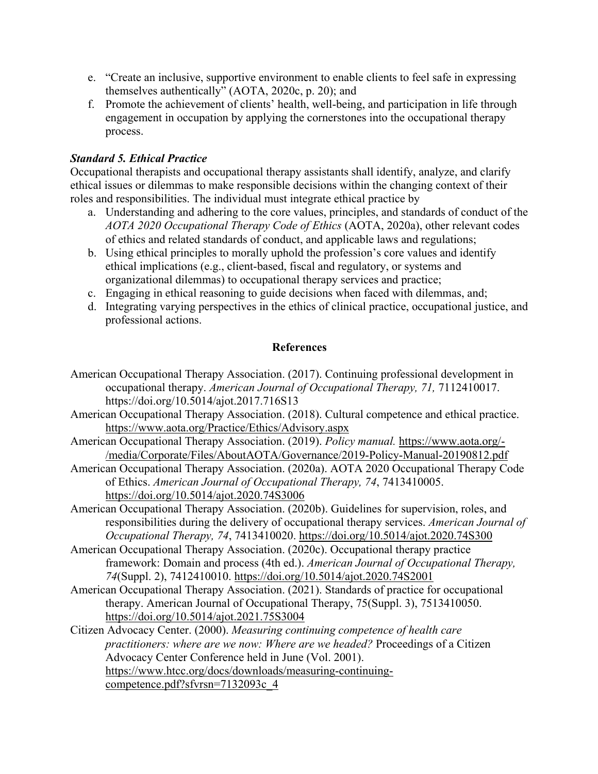- e. "Create an inclusive, supportive environment to enable clients to feel safe in expressing themselves authentically" (AOTA, 2020c, p. 20); and
- f. Promote the achievement of clients' health, well-being, and participation in life through engagement in occupation by applying the cornerstones into the occupational therapy process.

## *Standard 5. Ethical Practice*

Occupational therapists and occupational therapy assistants shall identify, analyze, and clarify ethical issues or dilemmas to make responsible decisions within the changing context of their roles and responsibilities. The individual must integrate ethical practice by

- a. Understanding and adhering to the core values, principles, and standards of conduct of the *AOTA 2020 Occupational Therapy Code of Ethics* (AOTA, 2020a), other relevant codes of ethics and related standards of conduct, and applicable laws and regulations;
- b. Using ethical principles to morally uphold the profession's core values and identify ethical implications (e.g., client-based, fiscal and regulatory, or systems and organizational dilemmas) to occupational therapy services and practice;
- c. Engaging in ethical reasoning to guide decisions when faced with dilemmas, and;
- d. Integrating varying perspectives in the ethics of clinical practice, occupational justice, and professional actions.

## **References**

- American Occupational Therapy Association. (2017). Continuing professional development in occupational therapy. *American Journal of Occupational Therapy, 71,* 7112410017. https://doi.org/10.5014/ajot.2017.716S13
- American Occupational Therapy Association. (2018). Cultural competence and ethical practice. [https://www.aota.org/Practice/Ethics/Advisory.aspx](about:blank)
- American Occupational Therapy Association. (2019). *Policy manual.* [https://www.aota.org/-](about:blank) [/media/Corporate/Files/AboutAOTA/Governance/2019-Policy-Manual-20190812.pdf](about:blank)
- American Occupational Therapy Association. (2020a). AOTA 2020 Occupational Therapy Code of Ethics. *American Journal of Occupational Therapy, 74*, 7413410005. [https://doi.org/10.5014/ajot.2020.74S3006](about:blank)
- American Occupational Therapy Association. (2020b). Guidelines for supervision, roles, and responsibilities during the delivery of occupational therapy services. *American Journal of Occupational Therapy, 74*, 7413410020. [https://doi.org/10.5014/ajot.2020.74S300](about:blank)
- American Occupational Therapy Association. (2020c). Occupational therapy practice framework: Domain and process (4th ed.). *American Journal of Occupational Therapy, 74*(Suppl. 2), 7412410010. [https://doi.org/10.5014/ajot.2020.74S2001](about:blank)
- American Occupational Therapy Association. (2021). Standards of practice for occupational therapy. American Journal of Occupational Therapy, 75(Suppl. 3), 7513410050. <https://doi.org/10.5014/ajot.2021.75S3004>
- Citizen Advocacy Center. (2000). *Measuring continuing competence of health care practitioners: where are we now: Where are we headed?* Proceedings of a Citizen Advocacy Center Conference held in June (Vol. 2001). [https://www.htcc.org/docs/downloads/measuring-continuing](about:blank)[competence.pdf?sfvrsn=7132093c\\_4](about:blank)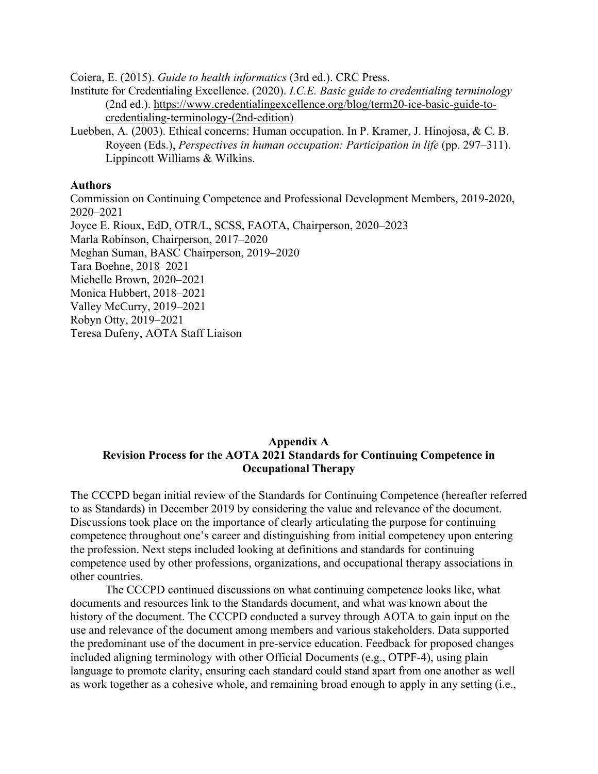Coiera, E. (2015). *Guide to health informatics* (3rd ed.). CRC Press.

Institute for Credentialing Excellence. (2020). *I.C.E. Basic guide to credentialing terminology*  (2nd ed.). [https://www.credentialingexcellence.org/blog/term20-ice-basic-guide-to](about:blank)[credentialing-terminology-\(2nd-edition\)](about:blank)

Luebben, A. (2003). Ethical concerns: Human occupation. In P. Kramer, J. Hinojosa, & C. B. Royeen (Eds.), *Perspectives in human occupation: Participation in life* (pp. 297–311). Lippincott Williams & Wilkins.

#### **Authors**

Commission on Continuing Competence and Professional Development Members, 2019-2020, 2020–2021 Joyce E. Rioux, EdD, OTR/L, SCSS, FAOTA, Chairperson, 2020–2023 Marla Robinson, Chairperson, 2017–2020 Meghan Suman, BASC Chairperson, 2019–2020 Tara Boehne, 2018–2021 Michelle Brown, 2020–2021 Monica Hubbert, 2018–2021 Valley McCurry, 2019–2021 Robyn Otty, 2019–2021 Teresa Dufeny, AOTA Staff Liaison

#### **Appendix A Revision Process for the AOTA 2021 Standards for Continuing Competence in Occupational Therapy**

The CCCPD began initial review of the Standards for Continuing Competence (hereafter referred to as Standards) in December 2019 by considering the value and relevance of the document. Discussions took place on the importance of clearly articulating the purpose for continuing competence throughout one's career and distinguishing from initial competency upon entering the profession. Next steps included looking at definitions and standards for continuing competence used by other professions, organizations, and occupational therapy associations in other countries.

The CCCPD continued discussions on what continuing competence looks like, what documents and resources link to the Standards document, and what was known about the history of the document. The CCCPD conducted a survey through AOTA to gain input on the use and relevance of the document among members and various stakeholders. Data supported the predominant use of the document in pre-service education. Feedback for proposed changes included aligning terminology with other Official Documents (e.g., OTPF-4), using plain language to promote clarity, ensuring each standard could stand apart from one another as well as work together as a cohesive whole, and remaining broad enough to apply in any setting (i.e.,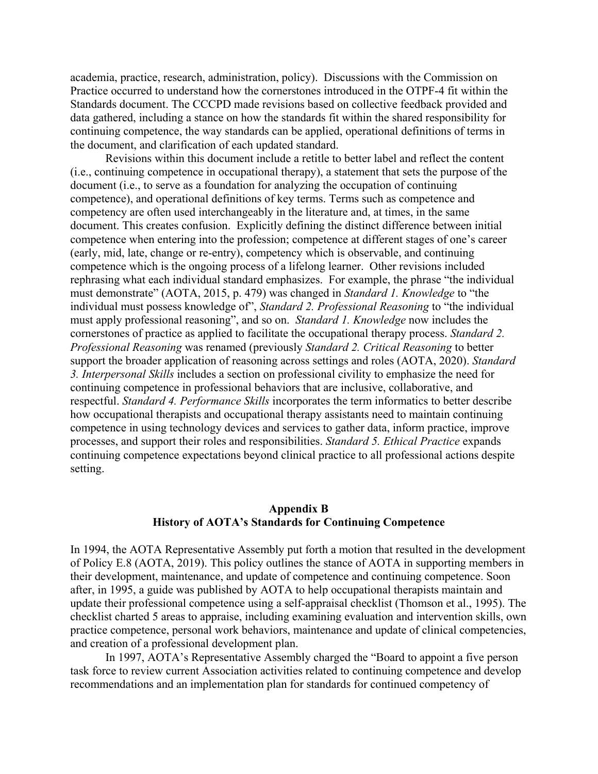academia, practice, research, administration, policy). Discussions with the Commission on Practice occurred to understand how the cornerstones introduced in the OTPF-4 fit within the Standards document. The CCCPD made revisions based on collective feedback provided and data gathered, including a stance on how the standards fit within the shared responsibility for continuing competence, the way standards can be applied, operational definitions of terms in the document, and clarification of each updated standard.

Revisions within this document include a retitle to better label and reflect the content (i.e., continuing competence in occupational therapy), a statement that sets the purpose of the document (i.e., to serve as a foundation for analyzing the occupation of continuing competence), and operational definitions of key terms. Terms such as competence and competency are often used interchangeably in the literature and, at times, in the same document. This creates confusion. Explicitly defining the distinct difference between initial competence when entering into the profession; competence at different stages of one's career (early, mid, late, change or re-entry), competency which is observable, and continuing competence which is the ongoing process of a lifelong learner. Other revisions included rephrasing what each individual standard emphasizes. For example, the phrase "the individual must demonstrate" (AOTA, 2015, p. 479) was changed in *Standard 1. Knowledge* to "the individual must possess knowledge of", *Standard 2. Professional Reasoning* to "the individual must apply professional reasoning", and so on. *Standard 1. Knowledge* now includes the cornerstones of practice as applied to facilitate the occupational therapy process. *Standard 2. Professional Reasoning* was renamed (previously *Standard 2. Critical Reasoning* to better support the broader application of reasoning across settings and roles (AOTA, 2020). *Standard 3. Interpersonal Skills* includes a section on professional civility to emphasize the need for continuing competence in professional behaviors that are inclusive, collaborative, and respectful. *Standard 4. Performance Skills* incorporates the term informatics to better describe how occupational therapists and occupational therapy assistants need to maintain continuing competence in using technology devices and services to gather data, inform practice, improve processes, and support their roles and responsibilities. *Standard 5. Ethical Practice* expands continuing competence expectations beyond clinical practice to all professional actions despite setting.

#### **Appendix B History of AOTA's Standards for Continuing Competence**

In 1994, the AOTA Representative Assembly put forth a motion that resulted in the development of Policy E.8 (AOTA, 2019). This policy outlines the stance of AOTA in supporting members in their development, maintenance, and update of competence and continuing competence. Soon after, in 1995, a guide was published by AOTA to help occupational therapists maintain and update their professional competence using a self-appraisal checklist (Thomson et al., 1995). The checklist charted 5 areas to appraise, including examining evaluation and intervention skills, own practice competence, personal work behaviors, maintenance and update of clinical competencies, and creation of a professional development plan.

In 1997, AOTA's Representative Assembly charged the "Board to appoint a five person task force to review current Association activities related to continuing competence and develop recommendations and an implementation plan for standards for continued competency of